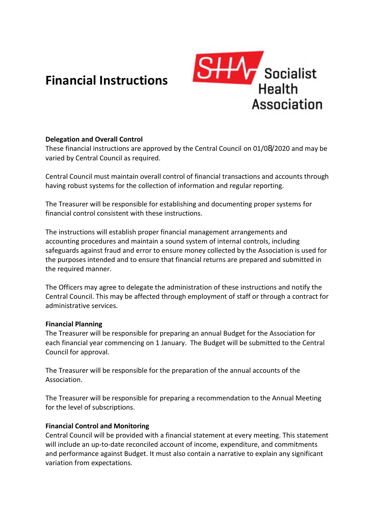# **Financial Instructions**



# **Delegation and Overall Control**

These financial instructions are approved by the Central Council on 01/08/2020 and may be varied by Central Council as required.

Central Council must maintain overall control of financial transactions and accounts through having robust systems for the collection of information and regular reporting.

The Treasurer will be responsible for establishing and documenting proper systems for financial control consistent with these instructions.

The instructions will establish proper financial management arrangements and accounting procedures and maintain a sound system of internal controls, including safeguards against fraud and error to ensure money collected by the Association is used for the purposes intended and to ensure that financial returns are prepared and submitted in the required manner.

The Officers may agree to delegate the administration of these instructions and notify the Central Council. This may be affected through employment of staff or through a contract for administrative services.

#### **Financial Planning**

The Treasurer will be responsible for preparing an annual Budget for the Association for each financial year commencing on 1 January. The Budget will be submitted to the Central Council for approval.

The Treasurer will be responsible for the preparation of the annual accounts of the Association.

The Treasurer will be responsible for preparing a recommendation to the Annual Meeting for the level of subscriptions.

# **Financial Control and Monitoring**

Central Council will be provided with a financial statement at every meeting. This statement will include an up-to-date reconciled account of income, expenditure, and commitments and performance against Budget. It must also contain a narrative to explain any significant variation from expectations.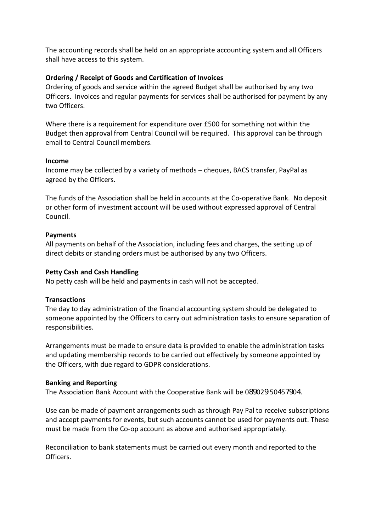The accounting records shall be held on an appropriate accounting system and all Officers shall have access to this system.

## **Ordering / Receipt of Goods and Certification of Invoices**

Ordering of goods and service within the agreed Budget shall be authorised by any two Officers. Invoices and regular payments for services shall be authorised for payment by any two Officers.

Where there is a requirement for expenditure over £500 for something not within the Budget then approval from Central Council will be required. This approval can be through email to Central Council members.

#### **Income**

Income may be collected by a variety of methods – cheques, BACS transfer, PayPal as agreed by the Officers.

The funds of the Association shall be held in accounts at the Co-operative Bank. No deposit or other form of investment account will be used without expressed approval of Central Council.

### **Payments**

All payments on behalf of the Association, including fees and charges, the setting up of direct debits or standing orders must be authorised by any two Officers.

# **Petty Cash and Cash Handling**

No petty cash will be held and payments in cash will not be accepted.

# **Transactions**

The day to day administration of the financial accounting system should be delegated to someone appointed by the Officers to carry out administration tasks to ensure separation of responsibilities.

Arrangements must be made to ensure data is provided to enable the administration tasks and updating membership records to be carried out effectively by someone appointed by the Officers, with due regard to GDPR considerations.

#### **Banking and Reporting**

The Association Bank Account with the Cooperative Bank will be 089029 50457904.

Use can be made of payment arrangements such as through Pay Pal to receive subscriptions and accept payments for events, but such accounts cannot be used for payments out. These must be made from the Co-op account as above and authorised appropriately.

Reconciliation to bank statements must be carried out every month and reported to the Officers.